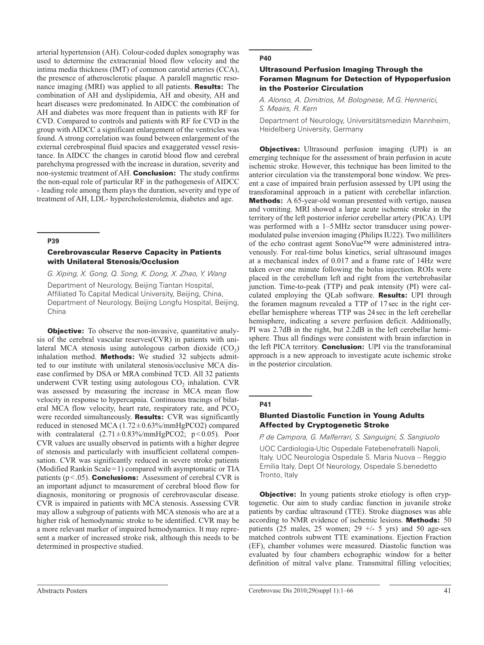arterial hypertension (AH). Colour-coded duplex sonography was used to determine the extracranial blood flow velocity and the intima media thickness (IMT) of common carotid arteries (CCA), the presence of atherosclerotic plaque. A paralell magnetic resonance imaging (MRI) was applied to all patients. Results: The combination of AH and dyslipidemia, AH and obesity, AH and heart diseases were predominated. In AIDCC the combination of AH and diabetes was more frequent than in patients with RF for CVD. Compared to controls and patients with RF for CVD in the group with AIDCC a significant enlargement of the ventricles was found. A strong correlation was found between enlargement of the external cerebrospinal fluid spacies and exaggerated vessel resistance. In AIDCC the changes in carotid blood flow and cerebral parehchyma progressed with the increase in duration, severity and non-systemic treatment of AH. Conclusion: The study confirms the non-equal role of particular RF in the pathogenesis of AIDCC - leading role among them plays the duration, severity and type of treatment of AH, LDL- hypercholesterolemia, diabetes and age.

# **P39**

## Cerebrovascular Reserve Capacity in Patients with Unilateral Stenosis/Occlusion

*G. Xiping, X. Gong, Q. Song, K. Dong, X. Zhao, Y. Wang*

Department of Neurology, Beijing Tiantan Hospital, Affiliated To Capital Medical University, Beijing, China, Department of Neurology, Beijing Longfu Hospital, Beijing, China

**Objective:** To observe the non-invasive, quantitative analysis of the cerebral vascular reserves(CVR) in patients with unilateral MCA stenosis using autologous carbon dioxide  $(CO<sub>2</sub>)$ inhalation method. **Methods:** We studied 32 subjects admitted to our institute with unilateral stenosis/occlusive MCA disease confirmed by DSA or MRA combined TCD. All 32 patients underwent CVR testing using autologous  $CO<sub>2</sub>$  inhalation. CVR was assessed by measuring the increase in MCA mean flow velocity in response to hypercapnia. Continuous tracings of bilateral MCA flow velocity, heart rate, respiratory rate, and  $PCO<sub>2</sub>$ were recorded simultaneously. Results: CVR was significantly reduced in stenosed MCA  $(1.72 \pm 0.63\% / \text{mmHgPCO2})$  compared with contralateral  $(2.71 \pm 0.83\% / \text{mmHgPCO2}; \text{p} < 0.05)$ . Poor CVR values are usually observed in patients with a higher degree of stenosis and particularly with insufficient collateral compensation. CVR was significantly reduced in severe stroke patients (Modified Rankin Scale = 1) compared with asymptomatic or TIA patients ( $p < .05$ ). **Conclusions:** Assessment of cerebral CVR is an important adjunct to measurement of cerebral blood flow for diagnosis, monitoring or prognosis of cerebrovascular disease. CVR is impaired in patients with MCA stenosis. Assessing CVR may allow a subgroup of patients with MCA stenosis who are at a higher risk of hemodynamic stroke to be identified. CVR may be a more relevant marker of impaired hemodynamics. It may represent a marker of increased stroke risk, although this needs to be determined in prospective studied.

## **P40**

# Ultrasound Perfusion Imaging Through the Foramen Magnum for Detection of Hypoperfusion in the Posterior Circulation

*A. Alonso, A. Dimitrios, M. Bolognese, M.G. Hennerici, S. Meairs, R. Kern*

Department of Neurology, Universitätsmedizin Mannheim, Heidelberg University, Germany

**Objectives:** Ultrasound perfusion imaging (UPI) is an emerging technique for the assessment of brain perfusion in acute ischemic stroke. However, this technique has been limited to the anterior circulation via the transtemporal bone window. We present a case of impaired brain perfusion assessed by UPI using the transforaminal approach in a patient with cerebellar infarction. Methods: A 65-year-old woman presented with vertigo, nausea and vomiting. MRI showed a large acute ischemic stroke in the territory of the left posterior inferior cerebellar artery (PICA). UPI was performed with a 1–5 MHz sector transducer using powermodulated pulse inversion imaging (Philips IU22). Two milliliters of the echo contrast agent SonoVue™ were administered intravenously. For real-time bolus kinetics, serial ultrasound images at a mechanical index of 0.017 and a frame rate of 14Hz were taken over one minute following the bolus injection. ROIs were placed in the cerebellum left and right from the vertebrobasilar junction. Time-to-peak (TTP) and peak intensity (PI) were calculated employing the QLab software. Results: UPI through the foramen magnum revealed a TTP of 17 sec in the right cerebellar hemisphere whereas TTP was 24 sec in the left cerebellar hemisphere, indicating a severe perfusion deficit. Additionally, PI was 2.7dB in the right, but 2.2dB in the left cerebellar hemisphere. Thus all findings were consistent with brain infarction in the left PICA territory. **Conclusion:** UPI via the transforaminal approach is a new approach to investigate acute ischemic stroke in the posterior circulation.

### **P41**

### Blunted Diastolic Function in Young Adults Affected by Cryptogenetic Stroke

*P. de Campora, G. Malferrari, S. Sanguigni, S. Sangiuolo*

UOC Cardiologia-Utic Ospedale Fatebenefratelli Napoli, Italy. UOC Neurologia Ospedale S. Maria Nuova – Reggio Emilia Italy, Dept Of Neurology, Ospedale S.benedetto Tronto, Italy

**Objective:** In young patients stroke etiology is often cryptogenetic. Our aim to study cardiac function in juvanile stroke patients by cardiac ultrasound (TTE). Stroke diagnoses was able according to NMR evidence of ischemic lesions. Methods: 50 patients (25 males, 25 women; 29  $+/-$  5 yrs) and 50 age-sex matched controls subwent TTE examinations. Ejection Fraction (EF), chamber volumes were measured. Diastolic function was evaluated by four chambers echographic window for a better definition of mitral valve plane. Transmitral filling velocities;